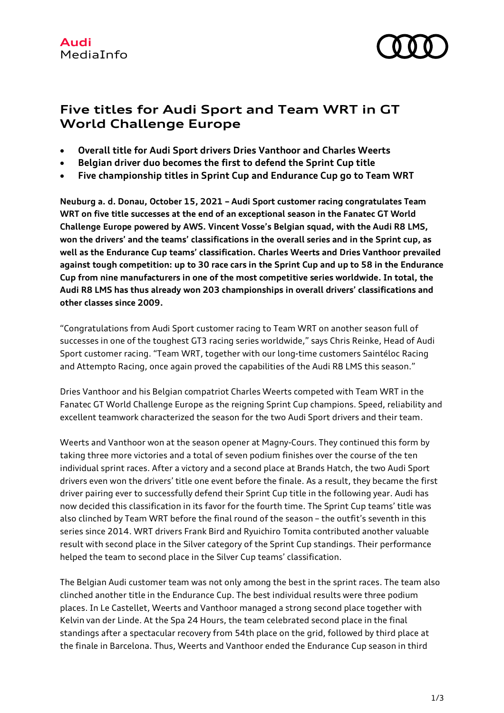

## **Five titles for Audi Sport and Team WRT in GT World Challenge Europe**

- **Overall title for Audi Sport drivers Dries Vanthoor and Charles Weerts**
- **Belgian driver duo becomes the first to defend the Sprint Cup title**
- **Five championship titles in Sprint Cup and Endurance Cup go to Team WRT**

**Neuburg a. d. Donau, October 15, 2021 – Audi Sport customer racing congratulates Team WRT on five title successes at the end of an exceptional season in the Fanatec GT World Challenge Europe powered by AWS. Vincent Vosse's Belgian squad, with the Audi R8 LMS, won the drivers' and the teams' classifications in the overall series and in the Sprint cup, as well as the Endurance Cup teams' classification. Charles Weerts and Dries Vanthoor prevailed against tough competition: up to 30 race cars in the Sprint Cup and up to 58 in the Endurance Cup from nine manufacturers in one of the most competitive series worldwide. In total, the Audi R8 LMS has thus already won 203 championships in overall drivers' classifications and other classes since 2009.**

"Congratulations from Audi Sport customer racing to Team WRT on another season full of successes in one of the toughest GT3 racing series worldwide," says Chris Reinke, Head of Audi Sport customer racing. "Team WRT, together with our long-time customers Saintéloc Racing and Attempto Racing, once again proved the capabilities of the Audi R8 LMS this season."

Dries Vanthoor and his Belgian compatriot Charles Weerts competed with Team WRT in the Fanatec GT World Challenge Europe as the reigning Sprint Cup champions. Speed, reliability and excellent teamwork characterized the season for the two Audi Sport drivers and their team.

Weerts and Vanthoor won at the season opener at Magny-Cours. They continued this form by taking three more victories and a total of seven podium finishes over the course of the ten individual sprint races. After a victory and a second place at Brands Hatch, the two Audi Sport drivers even won the drivers' title one event before the finale. As a result, they became the first driver pairing ever to successfully defend their Sprint Cup title in the following year. Audi has now decided this classification in its favor for the fourth time. The Sprint Cup teams' title was also clinched by Team WRT before the final round of the season – the outfit's seventh in this series since 2014. WRT drivers Frank Bird and Ryuichiro Tomita contributed another valuable result with second place in the Silver category of the Sprint Cup standings. Their performance helped the team to second place in the Silver Cup teams' classification.

The Belgian Audi customer team was not only among the best in the sprint races. The team also clinched another title in the Endurance Cup. The best individual results were three podium places. In Le Castellet, Weerts and Vanthoor managed a strong second place together with Kelvin van der Linde. At the Spa 24 Hours, the team celebrated second place in the final standings after a spectacular recovery from 54th place on the grid, followed by third place at the finale in Barcelona. Thus, Weerts and Vanthoor ended the Endurance Cup season in third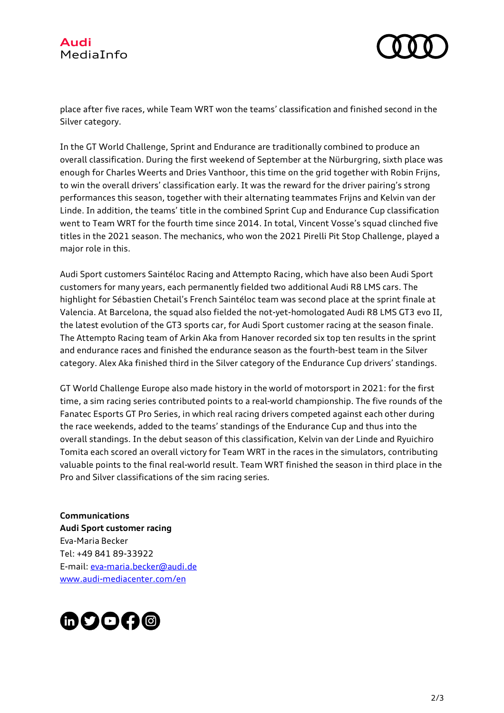



place after five races, while Team WRT won the teams' classification and finished second in the Silver category.

In the GT World Challenge, Sprint and Endurance are traditionally combined to produce an overall classification. During the first weekend of September at the Nürburgring, sixth place was enough for Charles Weerts and Dries Vanthoor, this time on the grid together with Robin Frijns, to win the overall drivers' classification early. It was the reward for the driver pairing's strong performances this season, together with their alternating teammates Frijns and Kelvin van der Linde. In addition, the teams' title in the combined Sprint Cup and Endurance Cup classification went to Team WRT for the fourth time since 2014. In total, Vincent Vosse's squad clinched five titles in the 2021 season. The mechanics, who won the 2021 Pirelli Pit Stop Challenge, played a major role in this.

Audi Sport customers Saintéloc Racing and Attempto Racing, which have also been Audi Sport customers for many years, each permanently fielded two additional Audi R8 LMS cars. The highlight for Sébastien Chetail's French Saintéloc team was second place at the sprint finale at Valencia. At Barcelona, the squad also fielded the not-yet-homologated Audi R8 LMS GT3 evo II, the latest evolution of the GT3 sports car, for Audi Sport customer racing at the season finale. The Attempto Racing team of Arkin Aka from Hanover recorded six top ten results in the sprint and endurance races and finished the endurance season as the fourth-best team in the Silver category. Alex Aka finished third in the Silver category of the Endurance Cup drivers' standings.

GT World Challenge Europe also made history in the world of motorsport in 2021: for the first time, a sim racing series contributed points to a real-world championship. The five rounds of the Fanatec Esports GT Pro Series, in which real racing drivers competed against each other during the race weekends, added to the teams' standings of the Endurance Cup and thus into the overall standings. In the debut season of this classification, Kelvin van der Linde and Ryuichiro Tomita each scored an overall victory for Team WRT in the races in the simulators, contributing valuable points to the final real-world result. Team WRT finished the season in third place in the Pro and Silver classifications of the sim racing series.

**Communications Audi Sport customer racing** Eva-Maria Becker Tel: +49 841 89-33922 E-mail: eva-maria.becker@audi.de www.audi-mediacenter.com/en